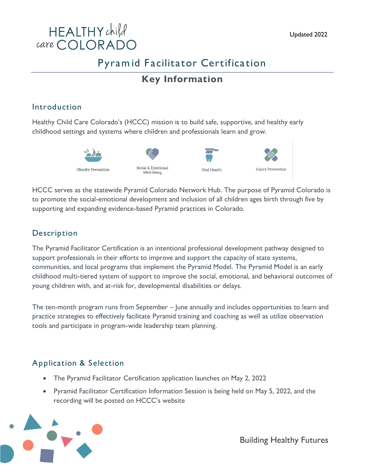

## Pyram id Facilitator Certification

### **Key Information**

#### Introduction

Healthy Child Care Colorado's (HCCC) mission is to build safe, supportive, and healthy early childhood settings and systems where children and professionals learn and grow.



Social & Emotional

Well-Being





HCCC serves as the statewide Pyramid Colorado Network Hub. The purpose of Pyramid Colorado is to promote the social-emotional development and inclusion of all children ages birth through five by supporting and expanding evidence-based Pyramid practices in Colorado.

### Description

The Pyramid Facilitator Certification is an intentional professional development pathway designed to support professionals in their efforts to improve and support the capacity of state systems, communities, and local programs that implement the Pyramid Model. The Pyramid Model is an early childhood multi-tiered system of support to improve the social, emotional, and behavioral outcomes of young children with, and at-risk for, developmental disabilities or delays.

The ten-month program runs from September – June annually and includes opportunities to learn and practice strategies to effectively facilitate Pyramid training and coaching as well as utilize observation tools and participate in program-wide leadership team planning.

### Application & Selection

- The Pyramid Facilitator Certification application launches on May 2, 2022
- Pyramid Facilitator Certification Information Session is being held on May 5, 2022, and the recording will be posted on HCCC's website

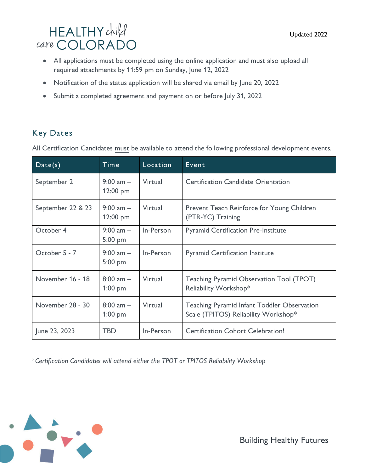# HEALTHYchild care COLORADO

- All applications must be completed using the online application and must also upload all required attachments by 11:59 pm on Sunday, June 12, 2022
- Notification of the status application will be shared via email by June 20, 2022
- Submit a completed agreement and payment on or before July 31, 2022

### Key Dates

All Certification Candidates must be available to attend the following professional development events.

| Date(s)           | Time                       | Location  | Event                                                                                      |
|-------------------|----------------------------|-----------|--------------------------------------------------------------------------------------------|
| September 2       | 9:00 am $-$<br>12:00 pm    | Virtual   | <b>Certification Candidate Orientation</b>                                                 |
| September 22 & 23 | 9:00 am $-$<br>12:00 pm    | Virtual   | Prevent Teach Reinforce for Young Children<br>(PTR-YC) Training                            |
| October 4         | 9:00 am $-$<br>$5:00$ pm   | In-Person | <b>Pyramid Certification Pre-Institute</b>                                                 |
| October 5 - 7     | 9:00 am $-$<br>$5:00$ pm   | In-Person | <b>Pyramid Certification Institute</b>                                                     |
| November 16 - 18  | $8:00$ am $-$<br>$1:00$ pm | Virtual   | Teaching Pyramid Observation Tool (TPOT)<br>Reliability Workshop*                          |
| November 28 - 30  | $8:00$ am $-$<br>$1:00$ pm | Virtual   | <b>Teaching Pyramid Infant Toddler Observation</b><br>Scale (TPITOS) Reliability Workshop* |
| June 23, 2023     | <b>TBD</b>                 | In-Person | <b>Certification Cohort Celebration!</b>                                                   |

*\*Certification Candidates will attend either the TPOT or TPITOS Reliability Workshop*

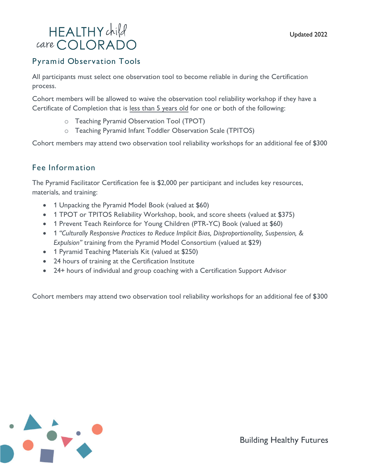## HEALTHYchild care COLORADO

#### Pyram id Observation Tools

All participants must select one observation tool to become reliable in during the Certification process.

Cohort members will be allowed to waive the observation tool reliability workshop if they have a Certificate of Completion that is less than 5 years old for one or both of the following:

- o Teaching Pyramid Observation Tool (TPOT)
- o Teaching Pyramid Infant Toddler Observation Scale (TPITOS)

Cohort members may attend two observation tool reliability workshops for an additional fee of \$300

#### Fee Inform ation

The Pyramid Facilitator Certification fee is \$2,000 per participant and includes key resources, materials, and training:

- 1 Unpacking the Pyramid Model Book (valued at \$60)
- 1 TPOT or TPITOS Reliability Workshop, book, and score sheets (valued at \$375)
- 1 Prevent Teach Reinforce for Young Children (PTR-YC) Book (valued at \$60)
- 1 *"Culturally Responsive Practices to Reduce Implicit Bias, Disproportionality, Suspension, & Expulsion"* training from the Pyramid Model Consortium (valued at \$29)
- 1 Pyramid Teaching Materials Kit (valued at \$250)
- 24 hours of training at the Certification Institute
- 24+ hours of individual and group coaching with a Certification Support Advisor

Cohort members may attend two observation tool reliability workshops for an additional fee of \$300

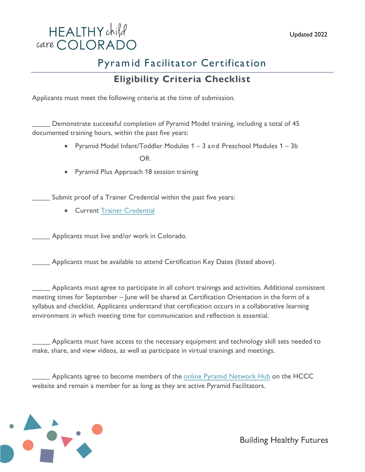

## Pyram id Facilitator Certification

### **Eligibility Criteria Checklist**

Applicants must meet the following criteria at the time of submission.

\_\_\_\_\_ Demonstrate successful completion of Pyramid Model training, including a total of 45 documented training hours, within the past five years:

• Pyramid Model Infant/Toddler Modules 1 – 3 and Preschool Modules 1 – 3b

OR

• Pyramid Plus Approach 18 session training

Submit proof of a Trainer Credential within the past five years:

• Current [Trainer Credential](https://www.coloradoshinespdis.com/s/Learn-About-Credential-Offerings?language=en_US#Trainer)

Applicants must live and/or work in Colorado.

Applicants must be available to attend Certification Key Dates (listed above).

\_\_\_\_\_ Applicants must agree to participate in all cohort trainings and activities. Additional consistent meeting times for September – June will be shared at Certification Orientation in the form of a syllabus and checklist. Applicants understand that certification occurs in a collaborative learning environment in which meeting time for communication and reflection is essential.

Applicants must have access to the necessary equipment and technology skill sets needed to make, share, and view videos, as well as participate in virtual trainings and meetings.

<sup>1</sup> Applicants agree to become members of the online [Pyramid Network Hub](online%20Pyramid%20Network%20Hub) on the HCCC website and remain a member for as long as they are active Pyramid Facilitators.